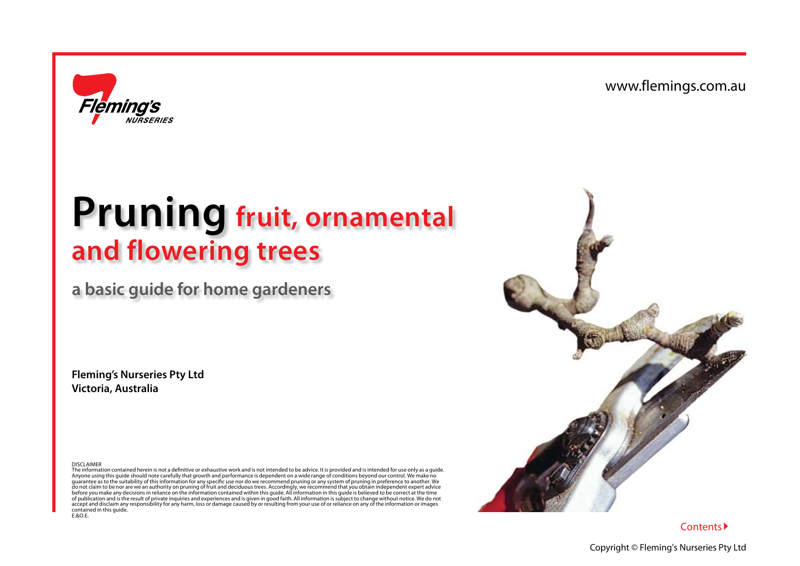

# **Pruning fruit, ornamental and flowering trees**

# **a basic guide for home gardeners**

**Fleming's Nurseries Pty Ltd Victoria, Australia**

DISCLAIMER

The information contained herein is not a definitive or exhaustive work and is not intended to be advice. It is provided and is intended for use only as a guide. Anyone using this guide should note carefully that growth and performance is dependent on a wide range of conditions beyond our control. We make no guarantee as to the suitability of this information for any specific use nor do we recommend pruning or any system of pruning in preference to another. We<br>do not claim to be nor are we an authority on pruning of fruit and of publication and is the result of private inquiries and experiences and is given in good faith. All information is subject to change without notice. We do not<br>accept and disclaim any responsibility for any harm, loss or contained in this guide. E.&O.F.

<span id="page-0-0"></span>

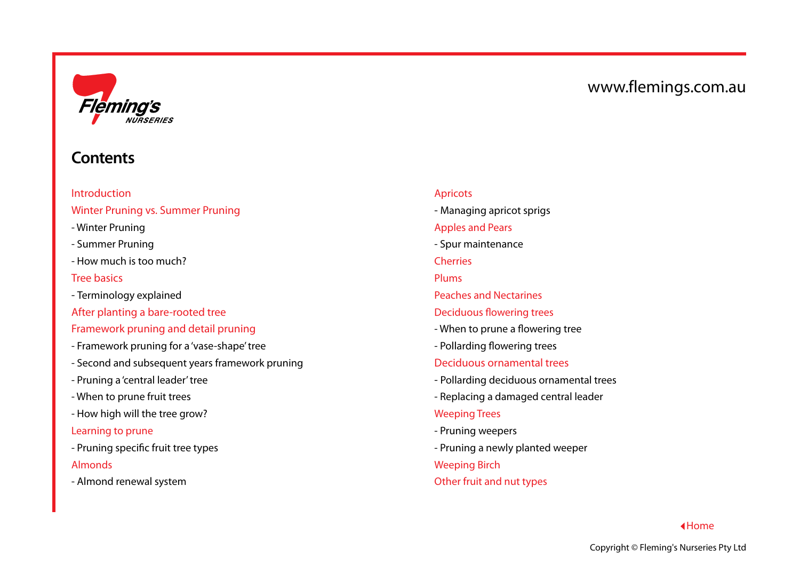

# <span id="page-1-0"></span>**Contents**

[Introduction](#page-2-0) [Winter Pruning vs. Summer Pruning](#page-3-0)

- [Winter Pruning](#page-3-1)
- Summer Pruning
- [How much is too much?](#page-3-2)

#### [Tree basics](#page-4-0)

- [Terminology explained](#page-4-1)
- [After planting a bare-rooted tree](#page-5-0)

#### [Framework pruning and detail pruning](#page-6-0)

- [Framework pruning for a 'vase-shape' tree](#page-6-1)
- [Second and subsequent years framework pruning](#page-7-0)
- [Pruning a 'central leader' tree](#page-8-0)
- [When to prune fruit trees](#page-8-1)
- [How high will the tree grow?](#page-9-0)
- [Learning to prune](#page-10-0)
- [Pruning specific fruit tree types](#page-10-1) [Almonds](#page-11-0)
- [Almond renewal system](#page-11-1)

#### [Apricots](#page-12-0)

 [- Managing apricot sprigs](#page-12-1)

#### [Apples and Pears](#page-13-0)

- [Spur maintenance](#page-13-1)
- [Cherries](#page-15-0)
- [Plums](#page-16-0)
- [Peaches and Nectarines](#page-17-0)
- [Deciduous flowering trees](#page-18-0)
- [When to prune a flowering tree](#page-18-1)
- [Pollarding flowering trees](#page-18-2)

#### [Deciduous ornamental trees](#page-19-0)

- [Pollarding deciduous ornamental trees](#page-19-1)
- [Replacing a damaged central leader](#page-19-2)

#### [Weeping Trees](#page-20-0)

- [Pruning weepers](#page-20-1)
- [Pruning a newly planted weeper](#page-20-2)

#### [Weeping Birch](#page-21-0)

[Other fruit and nut types](#page-22-0)

#### [Home](#page-0-0)

www.flemings.com.au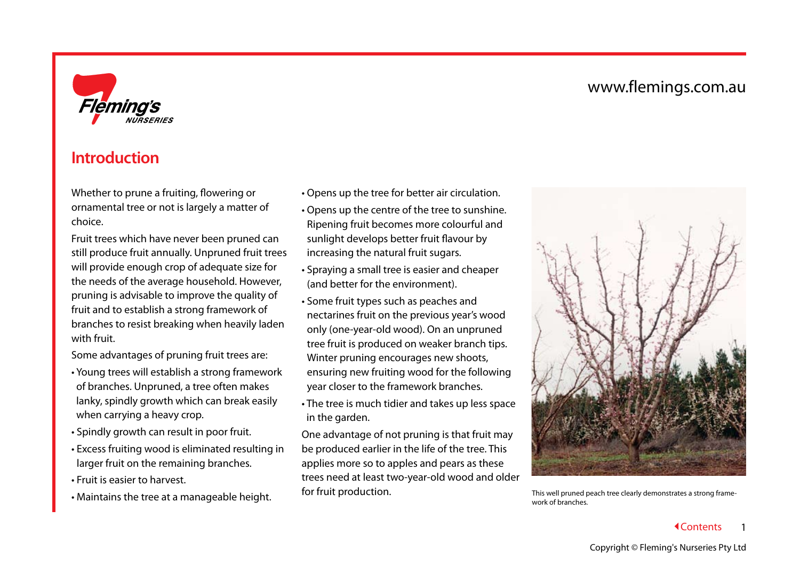

# <span id="page-2-0"></span>**Introduction**

Whether to prune a fruiting, flowering or ornamental tree or not is largely a matter of choice.

Fruit trees which have never been pruned can still produce fruit annually. Unpruned fruit trees will provide enough crop of adequate size for the needs of the average household. However, pruning is advisable to improve the quality of fruit and to establish a strong framework of branches to resist breaking when heavily laden with fruit.

Some advantages of pruning fruit trees are:

- Young trees will establish a strong framework of branches. Unpruned, a tree often makes lanky, spindly growth which can break easily when carrying a heavy crop.
- Spindly growth can result in poor fruit.
- Excess fruiting wood is eliminated resulting in larger fruit on the remaining branches.
- Fruit is easier to harvest.
- Maintains the tree at a manageable height.
- Opens up the tree for better air circulation.
- Opens up the centre of the tree to sunshine. Ripening fruit becomes more colourful and sunlight develops better fruit flavour by increasing the natural fruit sugars.
- Spraying a small tree is easier and cheaper (and better for the environment).
- Some fruit types such as peaches and nectarines fruit on the previous year's wood only (one-year-old wood). On an unpruned tree fruit is produced on weaker branch tips. Winter pruning encourages new shoots, ensuring new fruiting wood for the following year closer to the framework branches.
- The tree is much tidier and takes up less space in the garden.

One advantage of not pruning is that fruit may be produced earlier in the life of the tree. This applies more so to apples and pears as these trees need at least two-year-old wood and older for fruit production.



This well pruned peach tree clearly demonstrates a strong framework of branches.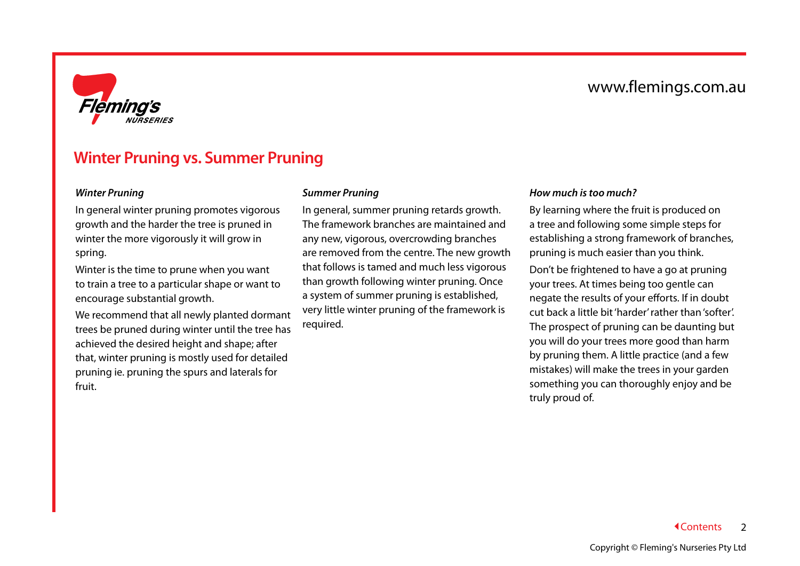

### <span id="page-3-0"></span>**Winter Pruning vs. Summer Pruning**

#### <span id="page-3-1"></span>*Winter Pruning*

In general winter pruning promotes vigorous growth and the harder the tree is pruned in winter the more vigorously it will grow in spring.

Winter is the time to prune when you want to train a tree to a particular shape or want to encourage substantial growth.

We recommend that all newly planted dormant trees be pruned during winter until the tree has achieved the desired height and shape; after that, winter pruning is mostly used for detailed pruning ie. pruning the spurs and laterals for fruit.

#### *Summer Pruning*

In general, summer pruning retards growth. The framework branches are maintained and any new, vigorous, overcrowding branches are removed from the centre. The new growth that follows is tamed and much less vigorous than growth following winter pruning. Once a system of summer pruning is established, very little winter pruning of the framework is required.

#### <span id="page-3-2"></span>*How much is too much?*

By learning where the fruit is produced on a tree and following some simple steps for establishing a strong framework of branches, pruning is much easier than you think.

Don't be frightened to have a go at pruning your trees. At times being too gentle can negate the results of your efforts. If in doubt cut back a little bit 'harder' rather than 'softer'. The prospect of pruning can be daunting but you will do your trees more good than harm by pruning them. A little practice (and a few mistakes) will make the trees in your garden something you can thoroughly enjoy and be truly proud of.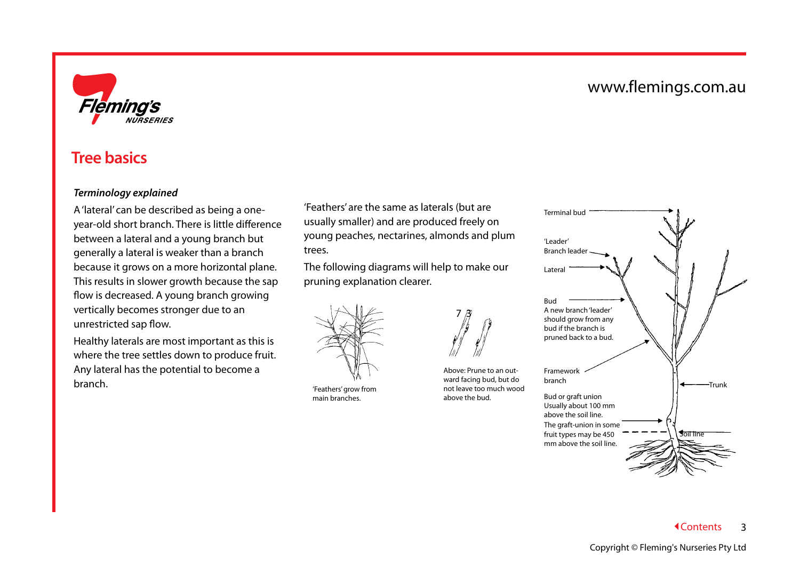

### <span id="page-4-0"></span>**Tree basics**

#### <span id="page-4-1"></span>*Terminology explained*

A 'lateral' can be described as being a oneyear-old short branch. There is little difference between a lateral and a young branch but generally a lateral is weaker than a branch because it grows on a more horizontal plane. This results in slower growth because the sap flow is decreased. A young branch growing vertically becomes stronger due to an unrestricted sap flow.

Healthy laterals are most important as this is where the tree settles down to produce fruit. Any lateral has the potential to become a branch.

'Feathers' are the same as laterals (but are usually smaller) and are produced freely on young peaches, nectarines, almonds and plum trees.

The following diagrams will help to make our pruning explanation clearer.



'Feathers' grow from main branches.



Above: Prune to an outward facing bud, but do not leave too much wood above the bud.

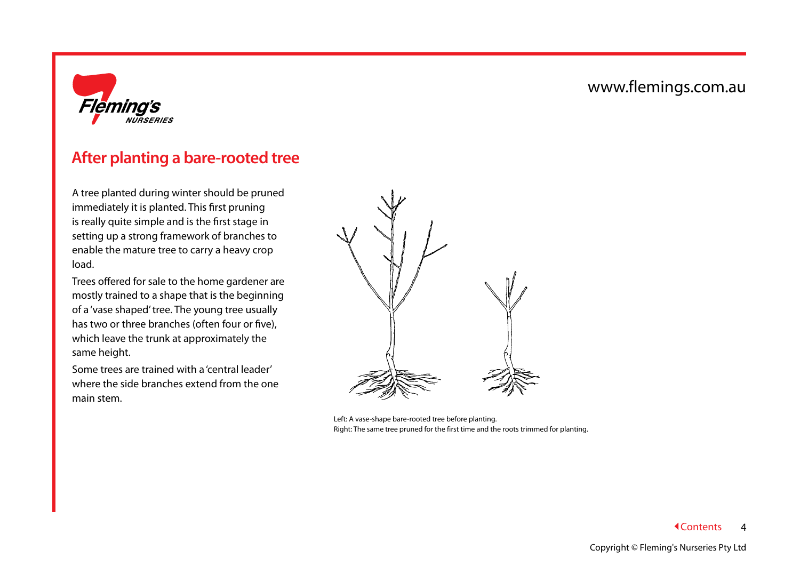

# <span id="page-5-0"></span>**After planting a bare-rooted tree**

A tree planted during winter should be pruned immediately it is planted. This first pruning is really quite simple and is the first stage in setting up a strong framework of branches to enable the mature tree to carry a heavy crop load.

Trees offered for sale to the home gardener are mostly trained to a shape that is the beginning of a 'vase shaped' tree. The young tree usually has two or three branches (often four or five), which leave the trunk at approximately the same height.

Some trees are trained with a 'central leader' where the side branches extend from the one main stem.



Left: A vase-shape bare-rooted tree before planting. Right: The same tree pruned for the first time and the roots trimmed for planting.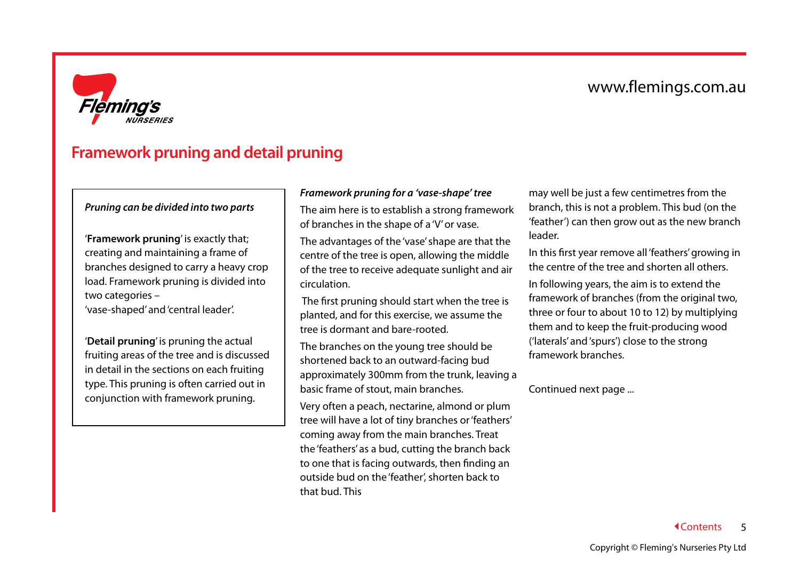

# <span id="page-6-0"></span>**Framework pruning and detail pruning**

#### *Pruning can be divided into two parts*

'**Framework pruning**' is exactly that; creating and maintaining a frame of branches designed to carry a heavy crop load. Framework pruning is divided into two categories –

'vase-shaped' and 'central leader'.

'**Detail pruning**' is pruning the actual fruiting areas of the tree and is discussed in detail in the sections on each fruiting type. This pruning is often carried out in conjunction with framework pruning.

#### <span id="page-6-1"></span>*Framework pruning for a 'vase-shape' tree*

The aim here is to establish a strong framework of branches in the shape of a 'V' or vase.

The advantages of the 'vase' shape are that the centre of the tree is open, allowing the middle of the tree to receive adequate sunlight and air circulation.

 The first pruning should start when the tree is planted, and for this exercise, we assume the tree is dormant and bare-rooted.

The branches on the young tree should be shortened back to an outward-facing bud approximately 300mm from the trunk, leaving a basic frame of stout, main branches.

Very often a peach, nectarine, almond or plum tree will have a lot of tiny branches or 'feathers' coming away from the main branches. Treat the 'feathers' as a bud, cutting the branch back to one that is facing outwards, then finding an outside bud on the 'feather', shorten back to that bud. This

may well be just a few centimetres from the branch, this is not a problem. This bud (on the 'feather') can then grow out as the new branch leader.

In this first year remove all 'feathers' growing in the centre of the tree and shorten all others.

In following years, the aim is to extend the framework of branches (from the original two, three or four to about 10 to 12) by multiplying them and to keep the fruit-producing wood ('laterals' and 'spurs') close to the strong framework branches.

Continued next page ...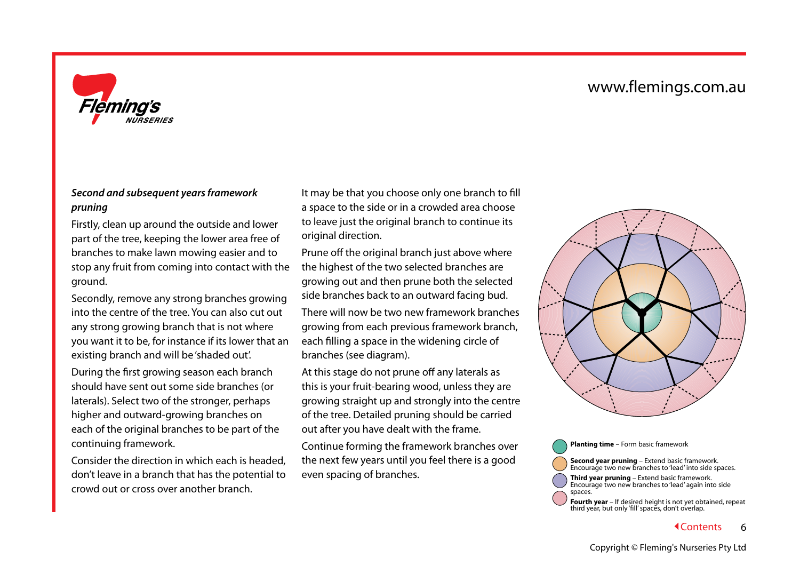

#### <span id="page-7-0"></span>*Second and subsequent years framework pruning*

Firstly, clean up around the outside and lower part of the tree, keeping the lower area free of branches to make lawn mowing easier and to stop any fruit from coming into contact with the ground.

Secondly, remove any strong branches growing into the centre of the tree. You can also cut out any strong growing branch that is not where you want it to be, for instance if its lower that an existing branch and will be 'shaded out'.

During the first growing season each branch should have sent out some side branches (or laterals). Select two of the stronger, perhaps higher and outward-growing branches on each of the original branches to be part of the continuing framework.

Consider the direction in which each is headed, don't leave in a branch that has the potential to crowd out or cross over another branch.

It may be that you choose only one branch to fill a space to the side or in a crowded area choose to leave just the original branch to continue its original direction.

Prune off the original branch just above where the highest of the two selected branches are growing out and then prune both the selected side branches back to an outward facing bud.

There will now be two new framework branches growing from each previous framework branch, each filling a space in the widening circle of branches (see diagram).

At this stage do not prune off any laterals as this is your fruit-bearing wood, unless they are growing straight up and strongly into the centre of the tree. Detailed pruning should be carried out after you have dealt with the frame.

Continue forming the framework branches over the next few years until you feel there is a good even spacing of branches.



**Planting time** – Form basic framework **Second year pruning** – Extend basic framework. Encourage two new branches to 'lead' into side spaces. **Third year pruning** – Extend basic framework. Encourage two new branches to 'lead' again into side spaces. **Fourth year** – If desired height is not yet obtained, repeat third year, but only 'fill' spaces, don't overlap.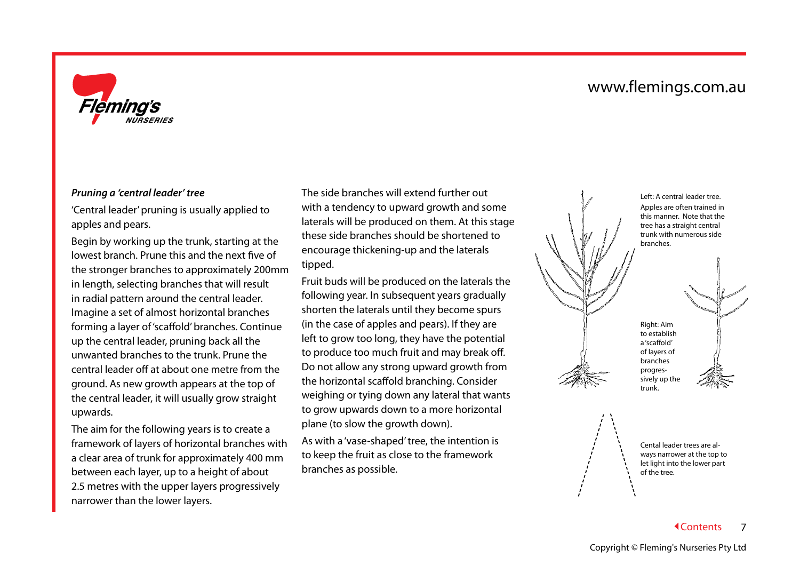

#### <span id="page-8-0"></span>*Pruning a 'central leader' tree*

'Central leader' pruning is usually applied to apples and pears.

Begin by working up the trunk, starting at the lowest branch. Prune this and the next five of the stronger branches to approximately 200mm in length, selecting branches that will result in radial pattern around the central leader. Imagine a set of almost horizontal branches forming a layer of 'scaffold' branches. Continue up the central leader, pruning back all the unwanted branches to the trunk. Prune the central leader off at about one metre from the ground. As new growth appears at the top of the central leader, it will usually grow straight upwards.

The aim for the following years is to create a framework of layers of horizontal branches with a clear area of trunk for approximately 400 mm between each layer, up to a height of about 2.5 metres with the upper layers progressively narrower than the lower layers.

The side branches will extend further out with a tendency to upward growth and some laterals will be produced on them. At this stage these side branches should be shortened to encourage thickening-up and the laterals tipped.

Fruit buds will be produced on the laterals the following year. In subsequent years gradually shorten the laterals until they become spurs (in the case of apples and pears). If they are left to grow too long, they have the potential to produce too much fruit and may break off. Do not allow any strong upward growth from the horizontal scaffold branching. Consider weighing or tying down any lateral that wants to grow upwards down to a more horizontal plane (to slow the growth down).

<span id="page-8-1"></span>As with a 'vase-shaped' tree, the intention is to keep the fruit as close to the framework branches as possible.





Cental leader trees are always narrower at the top to let light into the lower part of the tree.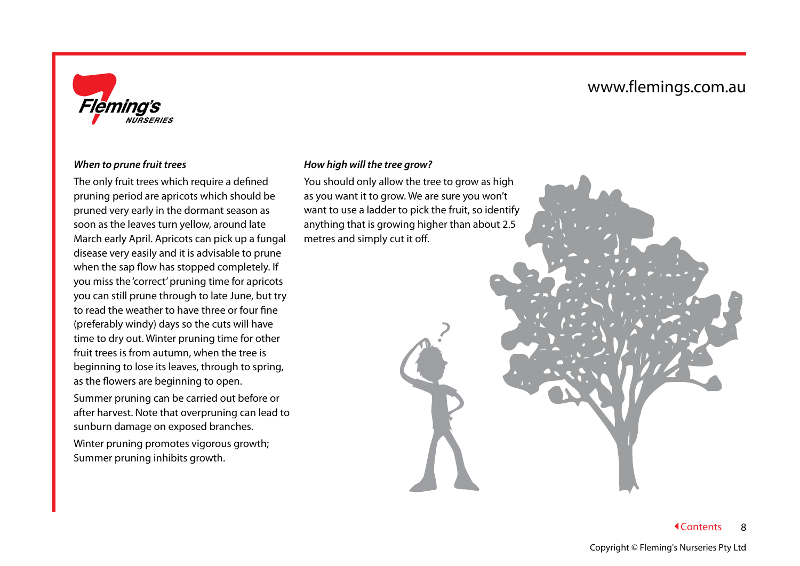

#### *When to prune fruit trees*

The only fruit trees which require a defined pruning period are apricots which should be pruned very early in the dormant season as soon as the leaves turn yellow, around late March early April. Apricots can pick up a fungal disease very easily and it is advisable to prune when the sap flow has stopped completely. If you miss the 'correct' pruning time for apricots you can still prune through to late June, but try to read the weather to have three or four fine (preferably windy) days so the cuts will have time to dry out. Winter pruning time for other fruit trees is from autumn, when the tree is beginning to lose its leaves, through to spring, as the flowers are beginning to open.

Summer pruning can be carried out before or after harvest. Note that overpruning can lead to sunburn damage on exposed branches.

Winter pruning promotes vigorous growth; Summer pruning inhibits growth.

#### <span id="page-9-0"></span>*How high will the tree grow?*

You should only allow the tree to grow as high as you want it to grow. We are sure you won't want to use a ladder to pick the fruit, so identify anything that is growing higher than about 2.5 metres and simply cut it off.

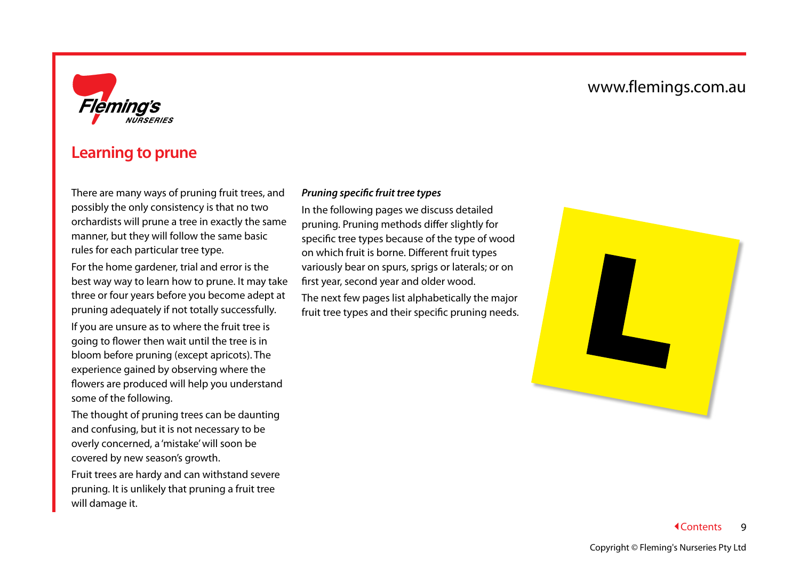

### <span id="page-10-0"></span>**Learning to prune**

There are many ways of pruning fruit trees, and possibly the only consistency is that no two orchardists will prune a tree in exactly the same manner, but they will follow the same basic rules for each particular tree type.

For the home gardener, trial and error is the best way way to learn how to prune. It may take three or four years before you become adept at pruning adequately if not totally successfully.

If you are unsure as to where the fruit tree is going to flower then wait until the tree is in bloom before pruning (except apricots). The experience gained by observing where the flowers are produced will help you understand some of the following.

The thought of pruning trees can be daunting and confusing, but it is not necessary to be overly concerned, a 'mistake' will soon be covered by new season's growth.

Fruit trees are hardy and can withstand severe pruning. It is unlikely that pruning a fruit tree will damage it.

#### <span id="page-10-1"></span>*Pruning specific fruit tree types*

In the following pages we discuss detailed pruning. Pruning methods differ slightly for specific tree types because of the type of wood on which fruit is borne. Different fruit types variously bear on spurs, sprigs or laterals; or on first year, second year and older wood.

The next few pages list alphabetically the major fruit tree types and their specific pruning needs.

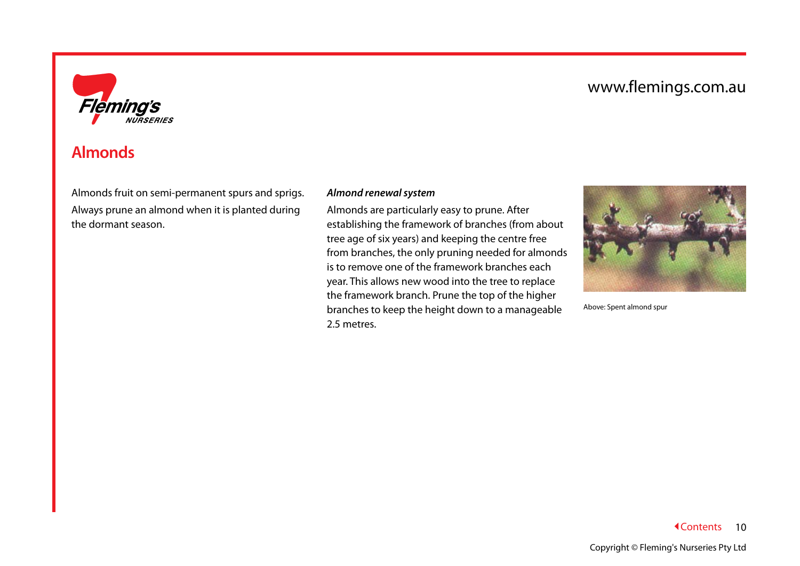

# <span id="page-11-0"></span>**Almonds**

Almonds fruit on semi-permanent spurs and sprigs. Always prune an almond when it is planted during the dormant season.

#### <span id="page-11-1"></span>*Almond renewal system*

Almonds are particularly easy to prune. After establishing the framework of branches (from about tree age of six years) and keeping the centre free from branches, the only pruning needed for almonds is to remove one of the framework branches each year. This allows new wood into the tree to replace the framework branch. Prune the top of the higher branches to keep the height down to a manageable 2.5 metres.



Above: Spent almond spur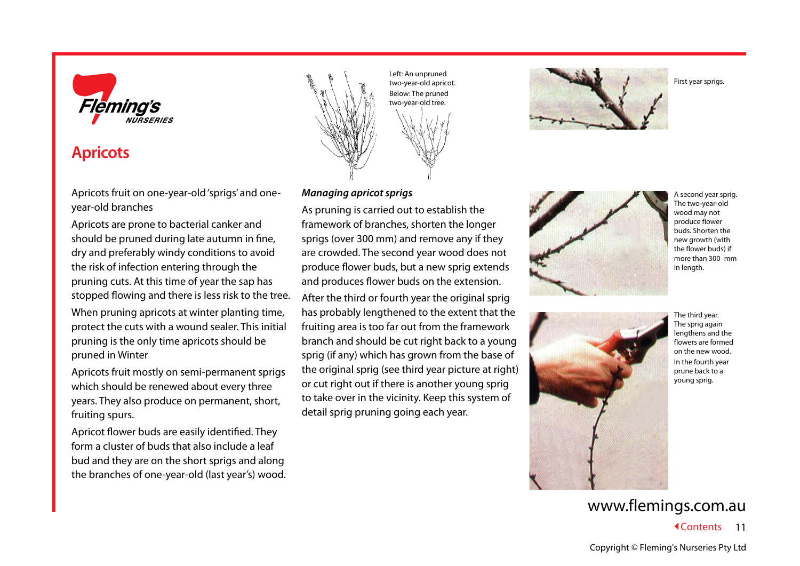

## <span id="page-12-0"></span>**Apricots**

Apricots fruit on one-year-old 'sprigs' and oneyear-old branches

Apricots are prone to bacterial canker and should be pruned during late autumn in fine, dry and preferably windy conditions to avoid the risk of infection entering through the pruning cuts. At this time of year the sap has stopped flowing and there is less risk to the tree.

When pruning apricots at winter planting time, protect the cuts with a wound sealer. This initial pruning is the only time apricots should be pruned in Winter

Apricots fruit mostly on semi-permanent sprigs which should be renewed about every three years. They also produce on permanent, short, fruiting spurs.

Apricot flower buds are easily identified. They form a cluster of buds that also include a leaf bud and they are on the short sprigs and along the branches of one-year-old (last year's) wood.



Left: An unpruned two-year-old apricot. Below: The pruned two-year-old tree.

#### <span id="page-12-1"></span>*Managing apricot sprigs*

As pruning is carried out to establish the framework of branches, shorten the longer sprigs (over 300 mm) and remove any if they are crowded. The second year wood does not produce flower buds, but a new sprig extends and produces flower buds on the extension.

After the third or fourth year the original sprig has probably lengthened to the extent that the fruiting area is too far out from the framework branch and should be cut right back to a young sprig (if any) which has grown from the base of the original sprig (see third year picture at right) or cut right out if there is another young sprig to take over in the vicinity. Keep this system of detail sprig pruning going each year.



First year sprigs.



A second year sprig. The two-year-old wood may not produce flower buds. Shorten the new growth (with the flower buds) if more than 300 mm in length.



The third year. The sprig again lengthens and the flowers are formed on the new wood. In the fourth year prune back to a young sprig.

# www.flemings.com.au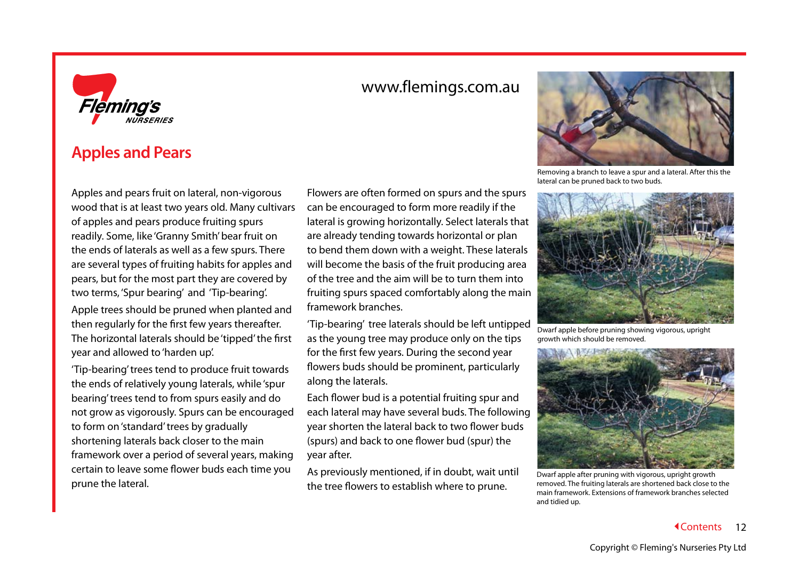

### <span id="page-13-0"></span>**Apples and Pears**

Apples and pears fruit on lateral, non-vigorous wood that is at least two years old. Many cultivars of apples and pears produce fruiting spurs readily. Some, like 'Granny Smith' bear fruit on the ends of laterals as well as a few spurs. There are several types of fruiting habits for apples and pears, but for the most part they are covered by two terms, 'Spur bearing' and 'Tip-bearing'.

Apple trees should be pruned when planted and then regularly for the first few years thereafter. The horizontal laterals should be 'tipped' the first year and allowed to 'harden up'.

'Tip-bearing' trees tend to produce fruit towards the ends of relatively young laterals, while 'spur bearing' trees tend to from spurs easily and do not grow as vigorously. Spurs can be encouraged to form on 'standard' trees by gradually shortening laterals back closer to the main framework over a period of several years, making certain to leave some flower buds each time you prune the lateral.

Flowers are often formed on spurs and the spurs can be encouraged to form more readily if the lateral is growing horizontally. Select laterals that are already tending towards horizontal or plan to bend them down with a weight. These laterals will become the basis of the fruit producing area of the tree and the aim will be to turn them into fruiting spurs spaced comfortably along the main framework branches.

'Tip-bearing' tree laterals should be left untipped as the young tree may produce only on the tips for the first few years. During the second year flowers buds should be prominent, particularly along the laterals.

Each flower bud is a potential fruiting spur and each lateral may have several buds. The following year shorten the lateral back to two flower buds (spurs) and back to one flower bud (spur) the year after.

<span id="page-13-1"></span>As previously mentioned, if in doubt, wait until the tree flowers to establish where to prune.



Removing a branch to leave a spur and a lateral. After this the lateral can be pruned back to two buds.



Dwarf apple before pruning showing vigorous, upright growth which should be removed.



Dwarf apple after pruning with vigorous, upright growth removed. The fruiting laterals are shortened back close to the main framework. Extensions of framework branches selected and tidied up.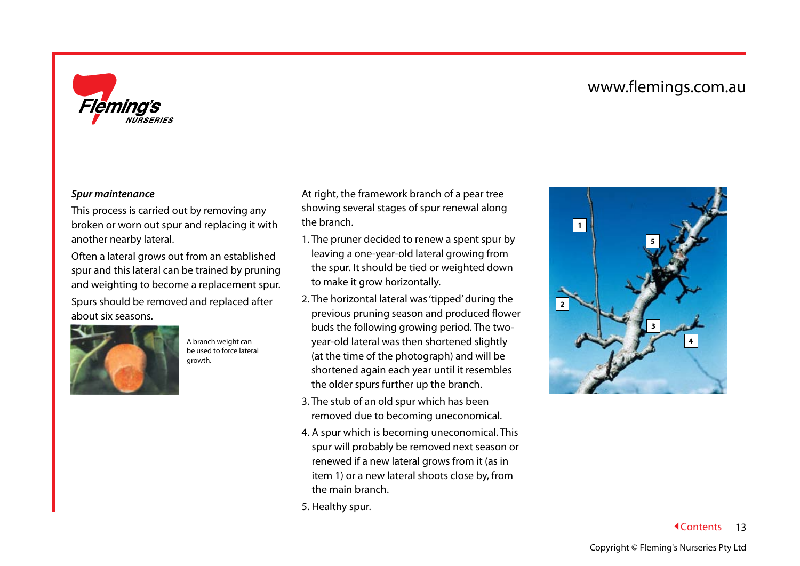

#### *Spur maintenance*

This process is carried out by removing any broken or worn out spur and replacing it with another nearby lateral.

Often a lateral grows out from an established spur and this lateral can be trained by pruning and weighting to become a replacement spur. Spurs should be removed and replaced after about six seasons.



A branch weight can be used to force lateral growth.

At right, the framework branch of a pear tree showing several stages of spur renewal along the branch.

- 1. The pruner decided to renew a spent spur by leaving a one-year-old lateral growing from the spur. It should be tied or weighted down to make it grow horizontally.
- 2. The horizontal lateral was 'tipped' during the previous pruning season and produced flower buds the following growing period. The twoyear-old lateral was then shortened slightly (at the time of the photograph) and will be shortened again each year until it resembles the older spurs further up the branch.
- 3. The stub of an old spur which has been removed due to becoming uneconomical.
- 4. A spur which is becoming uneconomical. This spur will probably be removed next season or renewed if a new lateral grows from it (as in item 1) or a new lateral shoots close by, from the main branch.
- 5. Healthy spur.

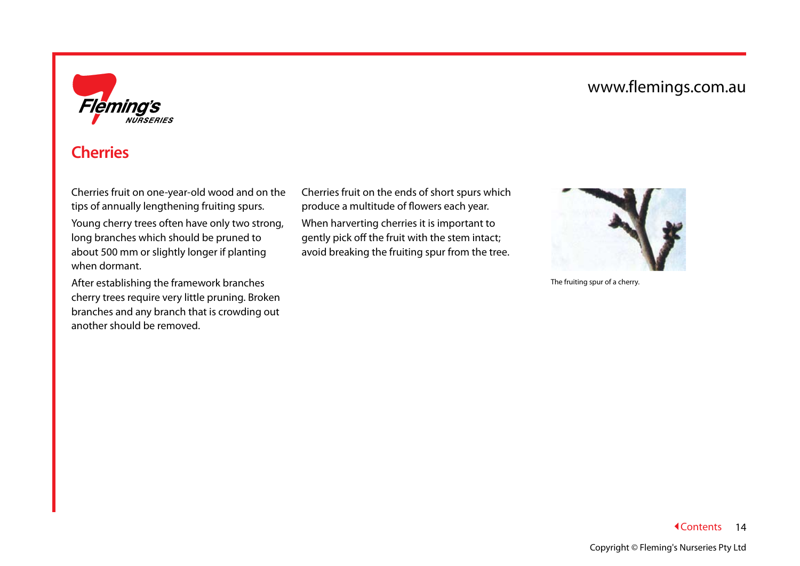

# <span id="page-15-0"></span>**Cherries**

Cherries fruit on one-year-old wood and on the tips of annually lengthening fruiting spurs.

Young cherry trees often have only two strong, long branches which should be pruned to about 500 mm or slightly longer if planting when dormant.

After establishing the framework branches cherry trees require very little pruning. Broken branches and any branch that is crowding out another should be removed.

Cherries fruit on the ends of short spurs which produce a multitude of flowers each year. When harverting cherries it is important to gently pick off the fruit with the stem intact; avoid breaking the fruiting spur from the tree.



The fruiting spur of a cherry.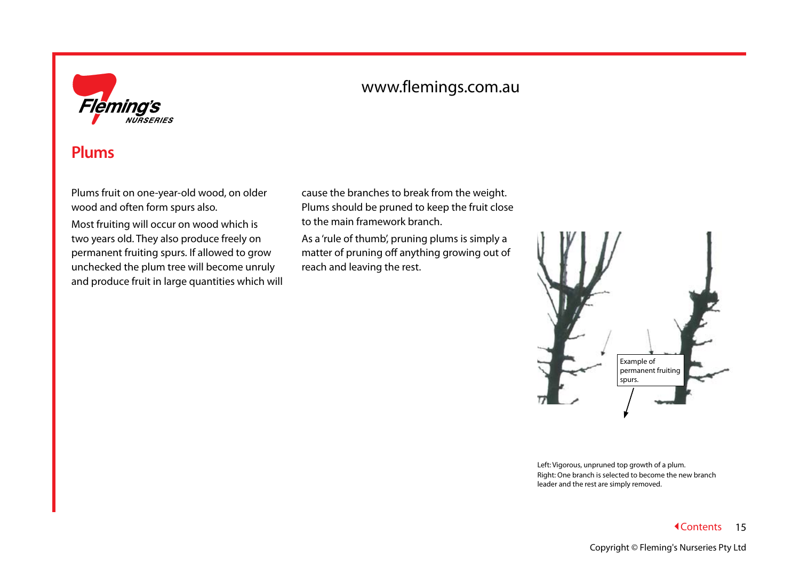

### <span id="page-16-0"></span>**Plums**

Plums fruit on one-year-old wood, on older wood and often form spurs also.

Most fruiting will occur on wood which is two years old. They also produce freely on permanent fruiting spurs. If allowed to grow unchecked the plum tree will become unruly and produce fruit in large quantities which will cause the branches to break from the weight. Plums should be pruned to keep the fruit close to the main framework branch.

As a 'rule of thumb', pruning plums is simply a matter of pruning off anything growing out of reach and leaving the rest.



Left: Vigorous, unpruned top growth of a plum. Right: One branch is selected to become the new branch leader and the rest are simply removed.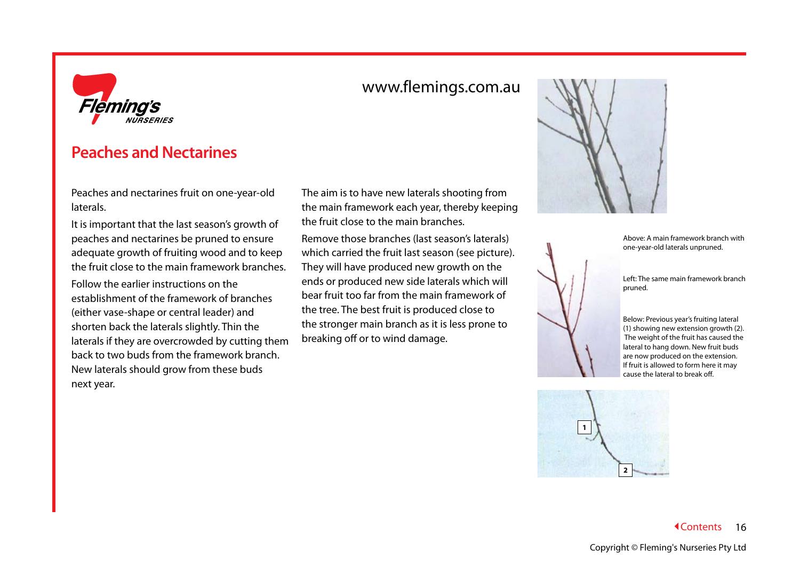

# <span id="page-17-0"></span>**Peaches and Nectarines**

Peaches and nectarines fruit on one-year-old laterals.

It is important that the last season's growth of peaches and nectarines be pruned to ensure adequate growth of fruiting wood and to keep the fruit close to the main framework branches.

Follow the earlier instructions on the establishment of the framework of branches (either vase-shape or central leader) and shorten back the laterals slightly. Thin the laterals if they are overcrowded by cutting them back to two buds from the framework branch. New laterals should grow from these buds next year.

The aim is to have new laterals shooting from the main framework each year, thereby keeping the fruit close to the main branches.

www.flemings.com.au

Remove those branches (last season's laterals) which carried the fruit last season (see picture). They will have produced new growth on the ends or produced new side laterals which will bear fruit too far from the main framework of the tree. The best fruit is produced close to the stronger main branch as it is less prone to breaking off or to wind damage.



Above: A main framework branch with one-year-old laterals unpruned.

Left: The same main framework branch pruned.

Below: Previous year's fruiting lateral (1) showing new extension growth (2). The weight of the fruit has caused the lateral to hang down. New fruit buds are now produced on the extension. If fruit is allowed to form here it may cause the lateral to break off.

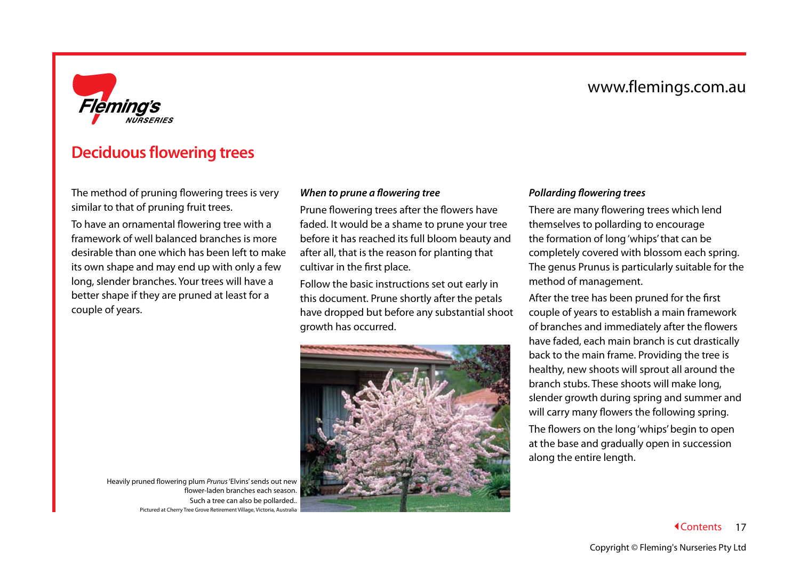

### <span id="page-18-0"></span>**Deciduous flowering trees**

The method of pruning flowering trees is very similar to that of pruning fruit trees.

To have an ornamental flowering tree with a framework of well balanced branches is more desirable than one which has been left to make its own shape and may end up with only a few long, slender branches. Your trees will have a better shape if they are pruned at least for a couple of years.

#### <span id="page-18-1"></span>*When to prune a flowering tree*

Prune flowering trees after the flowers have faded. It would be a shame to prune your tree before it has reached its full bloom beauty and after all, that is the reason for planting that cultivar in the first place.

Follow the basic instructions set out early in this document. Prune shortly after the petals have dropped but before any substantial shoot growth has occurred.



#### <span id="page-18-2"></span>*Pollarding flowering trees*

There are many flowering trees which lend themselves to pollarding to encourage the formation of long 'whips' that can be completely covered with blossom each spring. The genus Prunus is particularly suitable for the method of management.

After the tree has been pruned for the first couple of years to establish a main framework of branches and immediately after the flowers have faded, each main branch is cut drastically back to the main frame. Providing the tree is healthy, new shoots will sprout all around the branch stubs. These shoots will make long, slender growth during spring and summer and will carry many flowers the following spring.

The flowers on the long 'whips' begin to open at the base and gradually open in succession along the entire length.

Heavily pruned flowering plum *Prunus* 'Elvins' sends out new flower-laden branches each season. Such a tree can also be pollarded.. Pictured at Cherry Tree Grove Retirement Village, Victoria, Australia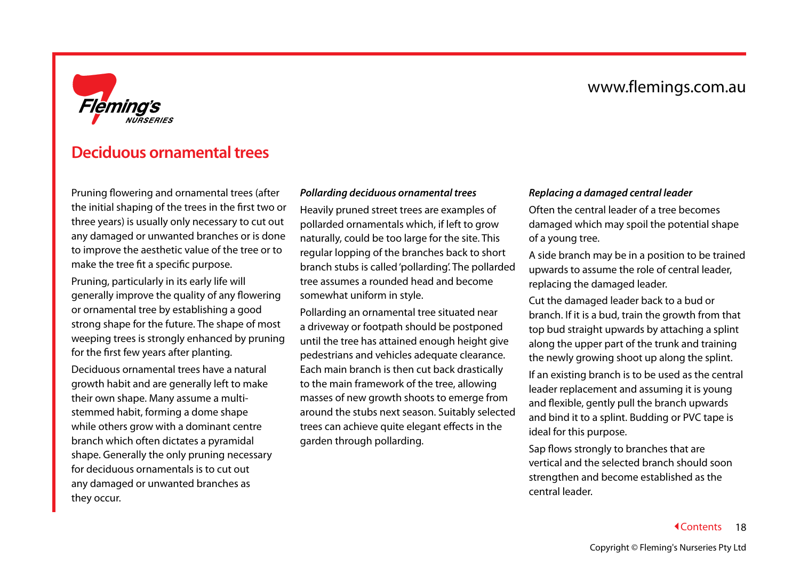

### <span id="page-19-0"></span>**Deciduous ornamental trees**

Pruning flowering and ornamental trees (after the initial shaping of the trees in the first two or three years) is usually only necessary to cut out any damaged or unwanted branches or is done to improve the aesthetic value of the tree or to make the tree fit a specific purpose.

Pruning, particularly in its early life will generally improve the quality of any flowering or ornamental tree by establishing a good strong shape for the future. The shape of most weeping trees is strongly enhanced by pruning for the first few years after planting.

Deciduous ornamental trees have a natural growth habit and are generally left to make their own shape. Many assume a multistemmed habit, forming a dome shape while others grow with a dominant centre branch which often dictates a pyramidal shape. Generally the only pruning necessary for deciduous ornamentals is to cut out any damaged or unwanted branches as they occur.

#### <span id="page-19-1"></span>*Pollarding deciduous ornamental trees*

Heavily pruned street trees are examples of pollarded ornamentals which, if left to grow naturally, could be too large for the site. This regular lopping of the branches back to short branch stubs is called 'pollarding'. The pollarded tree assumes a rounded head and become somewhat uniform in style.

Pollarding an ornamental tree situated near a driveway or footpath should be postponed until the tree has attained enough height give pedestrians and vehicles adequate clearance. Each main branch is then cut back drastically to the main framework of the tree, allowing masses of new growth shoots to emerge from around the stubs next season. Suitably selected trees can achieve quite elegant effects in the garden through pollarding.

#### <span id="page-19-2"></span>*Replacing a damaged central leader*

Often the central leader of a tree becomes damaged which may spoil the potential shape of a young tree.

A side branch may be in a position to be trained upwards to assume the role of central leader, replacing the damaged leader.

Cut the damaged leader back to a bud or branch. If it is a bud, train the growth from that top bud straight upwards by attaching a splint along the upper part of the trunk and training the newly growing shoot up along the splint.

If an existing branch is to be used as the central leader replacement and assuming it is young and flexible, gently pull the branch upwards and bind it to a splint. Budding or PVC tape is ideal for this purpose.

Sap flows strongly to branches that are vertical and the selected branch should soon strengthen and become established as the central leader.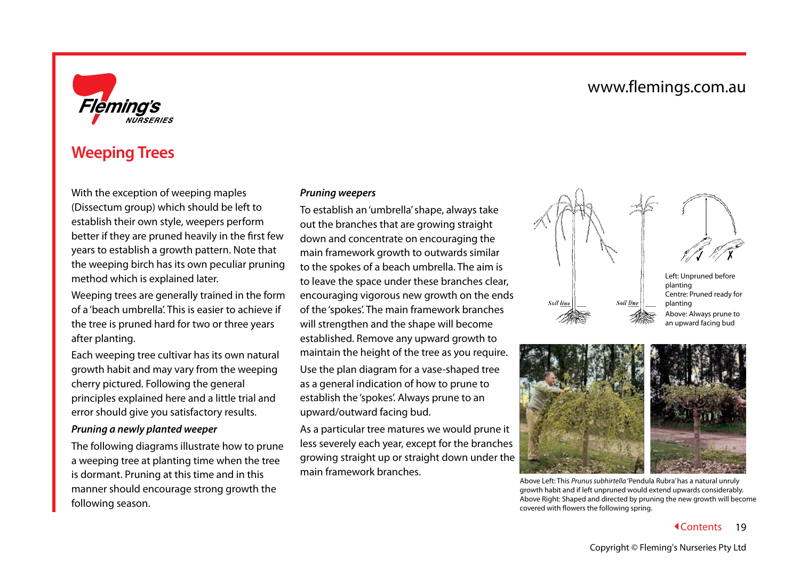

## <span id="page-20-0"></span>**Weeping Trees**

With the exception of weeping maples (Dissectum group) which should be left to establish their own style, weepers perform better if they are pruned heavily in the first few years to establish a growth pattern. Note that the weeping birch has its own peculiar pruning method which is explained later.

Weeping trees are generally trained in the form of a 'beach umbrella'. This is easier to achieve if the tree is pruned hard for two or three years after planting.

Each weeping tree cultivar has its own natural growth habit and may vary from the weeping cherry pictured. Following the general principles explained here and a little trial and error should give you satisfactory results.

#### <span id="page-20-2"></span>*Pruning a newly planted weeper*

The following diagrams illustrate how to prune a weeping tree at planting time when the tree is dormant. Pruning at this time and in this manner should encourage strong growth the following season.

#### <span id="page-20-1"></span>*Pruning weepers*

To establish an 'umbrella' shape, always take out the branches that are growing straight down and concentrate on encouraging the main framework growth to outwards similar to the spokes of a beach umbrella. The aim is to leave the space under these branches clear, encouraging vigorous new growth on the ends of the 'spokes'. The main framework branches will strengthen and the shape will become established. Remove any upward growth to maintain the height of the tree as you require. Use the plan diagram for a vase-shaped tree as a general indication of how to prune to establish the 'spokes'. Always prune to an upward/outward facing bud.

As a particular tree matures we would prune it less severely each year, except for the branches growing straight up or straight down under the main framework branches.





Left: Unpruned before planting Centre: Pruned ready for planting Above: Always prune to an upward facing bud



Above Left: This *Prunus subhirtella* 'Pendula Rubra' has a natural unruly growth habit and if left unpruned would extend upwards considerably. Above Right: Shaped and directed by pruning the new growth will become covered with flowers the following spring.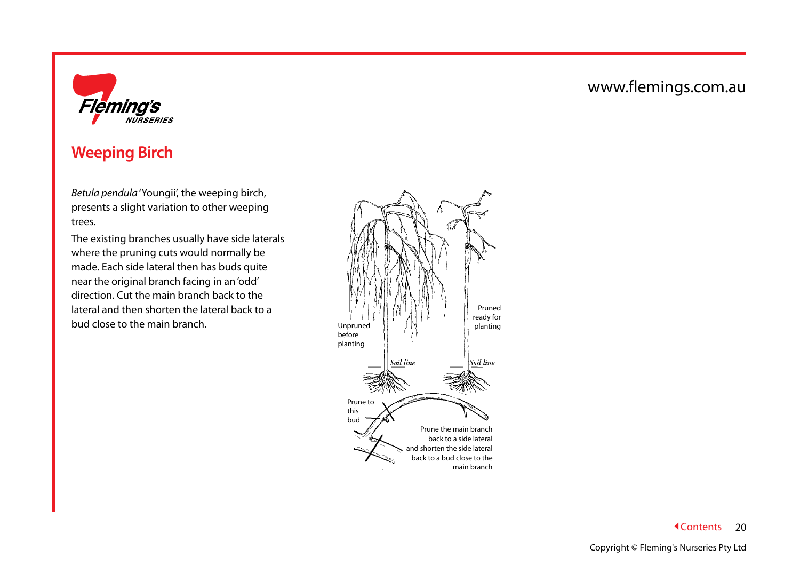

# <span id="page-21-0"></span>**Weeping Birch**

*Betula pendula* 'Youngii', the weeping birch, presents a slight variation to other weeping trees.

The existing branches usually have side laterals where the pruning cuts would normally be made. Each side lateral then has buds quite near the original branch facing in an 'odd' direction. Cut the main branch back to the lateral and then shorten the lateral back to a bud close to the main branch.